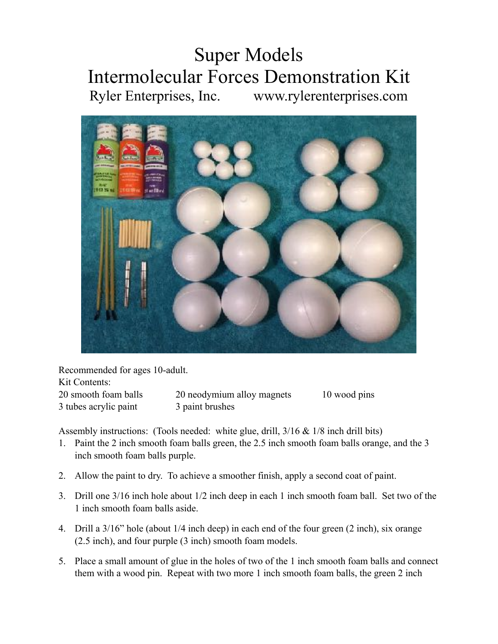## Super Models Intermolecular Forces Demonstration Kit Ryler Enterprises, Inc. www.rylerenterprises.com



Recommended for ages 10-adult. Kit Contents: 20 smooth foam balls 20 neodymium alloy magnets 10 wood pins 3 tubes acrylic paint 3 paint brushes

Assembly instructions: (Tools needed: white glue, drill, 3/16 & 1/8 inch drill bits)

- 1. Paint the 2 inch smooth foam balls green, the 2.5 inch smooth foam balls orange, and the 3 inch smooth foam balls purple.
- 2. Allow the paint to dry. To achieve a smoother finish, apply a second coat of paint.
- 3. Drill one 3/16 inch hole about 1/2 inch deep in each 1 inch smooth foam ball. Set two of the 1 inch smooth foam balls aside.
- 4. Drill a 3/16" hole (about 1/4 inch deep) in each end of the four green (2 inch), six orange (2.5 inch), and four purple (3 inch) smooth foam models.
- 5. Place a small amount of glue in the holes of two of the 1 inch smooth foam balls and connect them with a wood pin. Repeat with two more 1 inch smooth foam balls, the green 2 inch